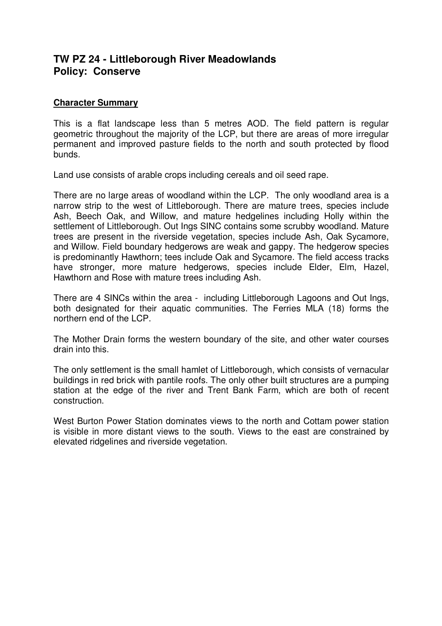# **TW PZ 24 - Littleborough River Meadowlands Policy: Conserve**

## **Character Summary**

This is a flat landscape less than 5 metres AOD. The field pattern is regular geometric throughout the majority of the LCP, but there are areas of more irregular permanent and improved pasture fields to the north and south protected by flood bunds.

Land use consists of arable crops including cereals and oil seed rape.

There are no large areas of woodland within the LCP. The only woodland area is a narrow strip to the west of Littleborough. There are mature trees, species include Ash, Beech Oak, and Willow, and mature hedgelines including Holly within the settlement of Littleborough. Out Ings SINC contains some scrubby woodland. Mature trees are present in the riverside vegetation, species include Ash, Oak Sycamore, and Willow. Field boundary hedgerows are weak and gappy. The hedgerow species is predominantly Hawthorn; tees include Oak and Sycamore. The field access tracks have stronger, more mature hedgerows, species include Elder, Elm, Hazel, Hawthorn and Rose with mature trees including Ash.

There are 4 SINCs within the area - including Littleborough Lagoons and Out Ings, both designated for their aquatic communities. The Ferries MLA (18) forms the northern end of the LCP.

The Mother Drain forms the western boundary of the site, and other water courses drain into this.

The only settlement is the small hamlet of Littleborough, which consists of vernacular buildings in red brick with pantile roofs. The only other built structures are a pumping station at the edge of the river and Trent Bank Farm, which are both of recent construction.

West Burton Power Station dominates views to the north and Cottam power station is visible in more distant views to the south. Views to the east are constrained by elevated ridgelines and riverside vegetation.